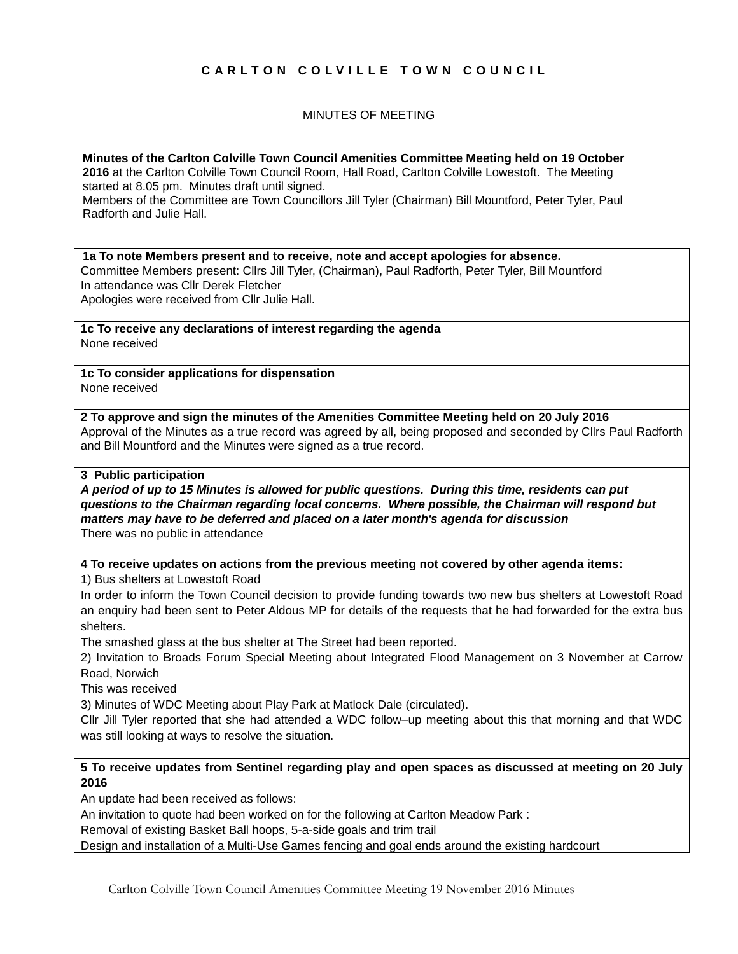# **C A R L T O N C O L V I L L E T O W N C O U N C I L**

## MINUTES OF MEETING

**Minutes of the Carlton Colville Town Council Amenities Committee Meeting held on 19 October 2016** at the Carlton Colville Town Council Room, Hall Road, Carlton Colville Lowestoft. The Meeting started at 8.05 pm. Minutes draft until signed. Members of the Committee are Town Councillors Jill Tyler (Chairman) Bill Mountford, Peter Tyler, Paul Radforth and Julie Hall.

**1a To note Members present and to receive, note and accept apologies for absence.** Committee Members present: Cllrs Jill Tyler, (Chairman), Paul Radforth, Peter Tyler, Bill Mountford In attendance was Cllr Derek Fletcher Apologies were received from Cllr Julie Hall.

**1c To receive any declarations of interest regarding the agenda** None received

**1c To consider applications for dispensation** None received

**2 To approve and sign the minutes of the Amenities Committee Meeting held on 20 July 2016** Approval of the Minutes as a true record was agreed by all, being proposed and seconded by Cllrs Paul Radforth and Bill Mountford and the Minutes were signed as a true record.

#### **3 Public participation**

*A period of up to 15 Minutes is allowed for public questions. During this time, residents can put questions to the Chairman regarding local concerns. Where possible, the Chairman will respond but matters may have to be deferred and placed on a later month's agenda for discussion* There was no public in attendance

**4 To receive updates on actions from the previous meeting not covered by other agenda items:**

1) Bus shelters at Lowestoft Road

In order to inform the Town Council decision to provide funding towards two new bus shelters at Lowestoft Road an enquiry had been sent to Peter Aldous MP for details of the requests that he had forwarded for the extra bus shelters.

The smashed glass at the bus shelter at The Street had been reported.

2) Invitation to Broads Forum Special Meeting about Integrated Flood Management on 3 November at Carrow Road, Norwich

This was received

3) Minutes of WDC Meeting about Play Park at Matlock Dale (circulated).

Cllr Jill Tyler reported that she had attended a WDC follow–up meeting about this that morning and that WDC was still looking at ways to resolve the situation.

#### **5 To receive updates from Sentinel regarding play and open spaces as discussed at meeting on 20 July 2016**

An update had been received as follows:

An invitation to quote had been worked on for the following at Carlton Meadow Park :

Removal of existing Basket Ball hoops, 5-a-side goals and trim trail

Design and installation of a Multi-Use Games fencing and goal ends around the existing hardcourt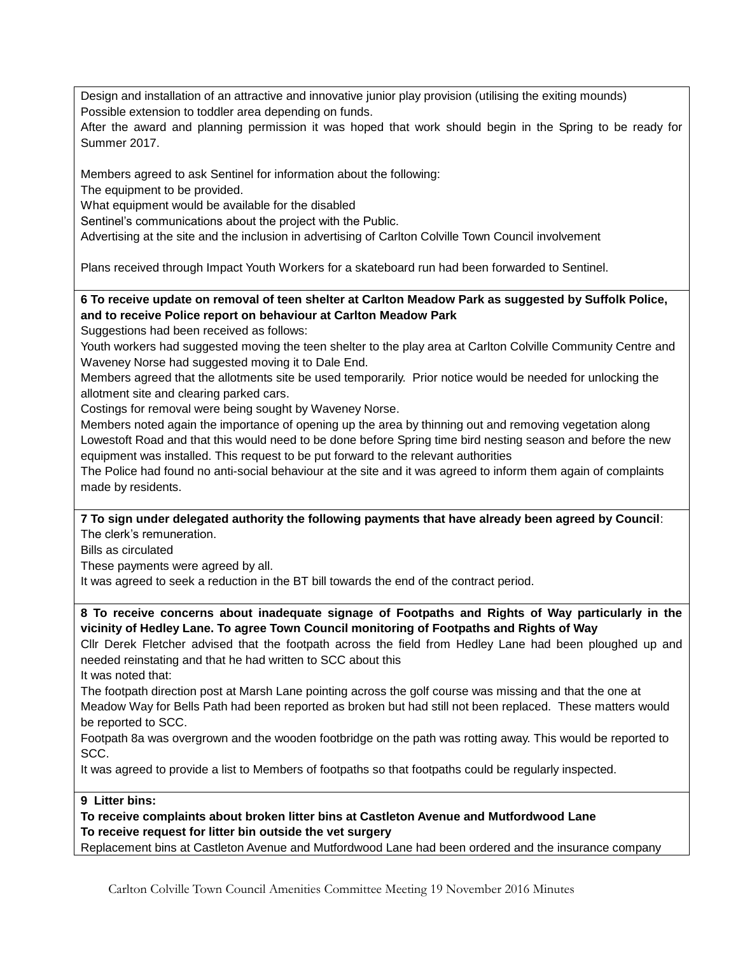Design and installation of an attractive and innovative junior play provision (utilising the exiting mounds) Possible extension to toddler area depending on funds.

After the award and planning permission it was hoped that work should begin in the Spring to be ready for Summer 2017.

Members agreed to ask Sentinel for information about the following:

The equipment to be provided.

What equipment would be available for the disabled

Sentinel's communications about the project with the Public.

Advertising at the site and the inclusion in advertising of Carlton Colville Town Council involvement

Plans received through Impact Youth Workers for a skateboard run had been forwarded to Sentinel.

**6 To receive update on removal of teen shelter at Carlton Meadow Park as suggested by Suffolk Police, and to receive Police report on behaviour at Carlton Meadow Park** 

Suggestions had been received as follows:

Youth workers had suggested moving the teen shelter to the play area at Carlton Colville Community Centre and Waveney Norse had suggested moving it to Dale End.

Members agreed that the allotments site be used temporarily. Prior notice would be needed for unlocking the allotment site and clearing parked cars.

Costings for removal were being sought by Waveney Norse.

Members noted again the importance of opening up the area by thinning out and removing vegetation along Lowestoft Road and that this would need to be done before Spring time bird nesting season and before the new equipment was installed. This request to be put forward to the relevant authorities

The Police had found no anti-social behaviour at the site and it was agreed to inform them again of complaints made by residents.

**7 To sign under delegated authority the following payments that have already been agreed by Council**: The clerk's remuneration.

Bills as circulated

These payments were agreed by all.

It was agreed to seek a reduction in the BT bill towards the end of the contract period.

**8 To receive concerns about inadequate signage of Footpaths and Rights of Way particularly in the vicinity of Hedley Lane. To agree Town Council monitoring of Footpaths and Rights of Way**

Cllr Derek Fletcher advised that the footpath across the field from Hedley Lane had been ploughed up and needed reinstating and that he had written to SCC about this

It was noted that:

The footpath direction post at Marsh Lane pointing across the golf course was missing and that the one at Meadow Way for Bells Path had been reported as broken but had still not been replaced. These matters would be reported to SCC.

Footpath 8a was overgrown and the wooden footbridge on the path was rotting away. This would be reported to SCC.

It was agreed to provide a list to Members of footpaths so that footpaths could be regularly inspected.

### **9 Litter bins:**

**To receive complaints about broken litter bins at Castleton Avenue and Mutfordwood Lane To receive request for litter bin outside the vet surgery**

Replacement bins at Castleton Avenue and Mutfordwood Lane had been ordered and the insurance company